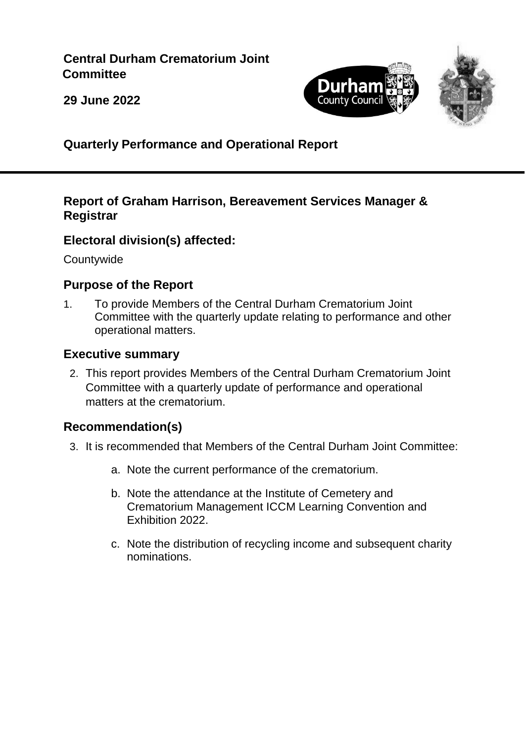#### **Central Durham Crematorium Joint Committee**





**29 June 2022**

**Quarterly Performance and Operational Report**

#### **Report of Graham Harrison, Bereavement Services Manager & Registrar**

## **Electoral division(s) affected:**

**Countywide** 

## **Purpose of the Report**

1. To provide Members of the Central Durham Crematorium Joint Committee with the quarterly update relating to performance and other operational matters.

#### **Executive summary**

2. This report provides Members of the Central Durham Crematorium Joint Committee with a quarterly update of performance and operational matters at the crematorium.

## **Recommendation(s)**

- 3. It is recommended that Members of the Central Durham Joint Committee:
	- a. Note the current performance of the crematorium.
	- b. Note the attendance at the Institute of Cemetery and Crematorium Management ICCM Learning Convention and Exhibition 2022.
	- c. Note the distribution of recycling income and subsequent charity nominations.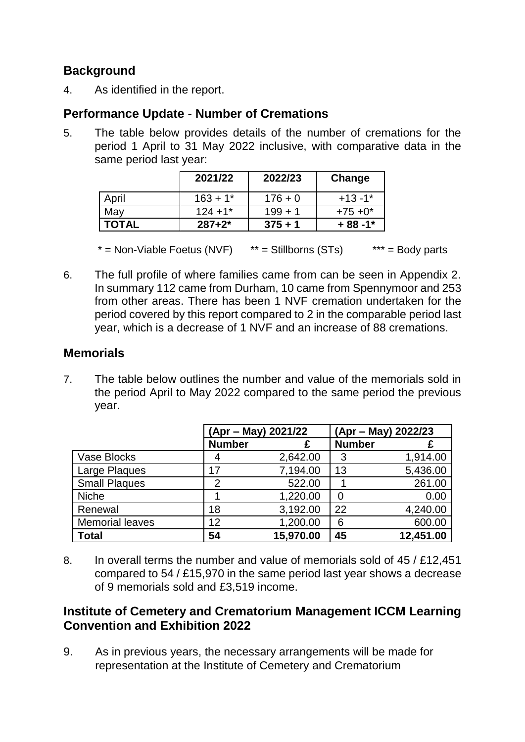## **Background**

4. As identified in the report.

#### **Performance Update - Number of Cremations**

5. The table below provides details of the number of cremations for the period 1 April to 31 May 2022 inclusive, with comparative data in the same period last year:

|              | 2021/22    | 2022/23   | Change     |
|--------------|------------|-----------|------------|
| April        | $163 + 1*$ | $176 + 0$ | $+13 -1*$  |
| May          | $124 + 1*$ | $199 + 1$ | $+75+0*$   |
| <b>TOTAL</b> | $287+2*$   | $375 + 1$ | $+88 - 1*$ |

 $* =$  Non-Viable Foetus (NVF)  $* =$  Stillborns (STs)  $* * =$  Body parts

6. The full profile of where families came from can be seen in Appendix 2. In summary 112 came from Durham, 10 came from Spennymoor and 253 from other areas. There has been 1 NVF cremation undertaken for the period covered by this report compared to 2 in the comparable period last year, which is a decrease of 1 NVF and an increase of 88 cremations.

#### **Memorials**

7. The table below outlines the number and value of the memorials sold in the period April to May 2022 compared to the same period the previous year.

|                        | (Apr – May) 2021/22 |           | (Apr – May) 2022/23 |           |
|------------------------|---------------------|-----------|---------------------|-----------|
|                        | <b>Number</b>       |           | <b>Number</b>       |           |
| <b>Vase Blocks</b>     |                     | 2,642.00  | 3                   | 1,914.00  |
| Large Plaques          | 17                  | 7,194.00  | 13                  | 5,436.00  |
| <b>Small Plaques</b>   | 2                   | 522.00    |                     | 261.00    |
| <b>Niche</b>           |                     | 1,220.00  | 0                   | 0.00      |
| Renewal                | 18                  | 3,192.00  | 22                  | 4,240.00  |
| <b>Memorial leaves</b> | 12                  | 1,200.00  | 6                   | 600.00    |
| <b>Total</b>           | 54                  | 15,970.00 | 45                  | 12,451.00 |

8. In overall terms the number and value of memorials sold of 45 / £12,451 compared to 54 / £15,970 in the same period last year shows a decrease of 9 memorials sold and £3,519 income.

#### **Institute of Cemetery and Crematorium Management ICCM Learning Convention and Exhibition 2022**

9. As in previous years, the necessary arrangements will be made for representation at the Institute of Cemetery and Crematorium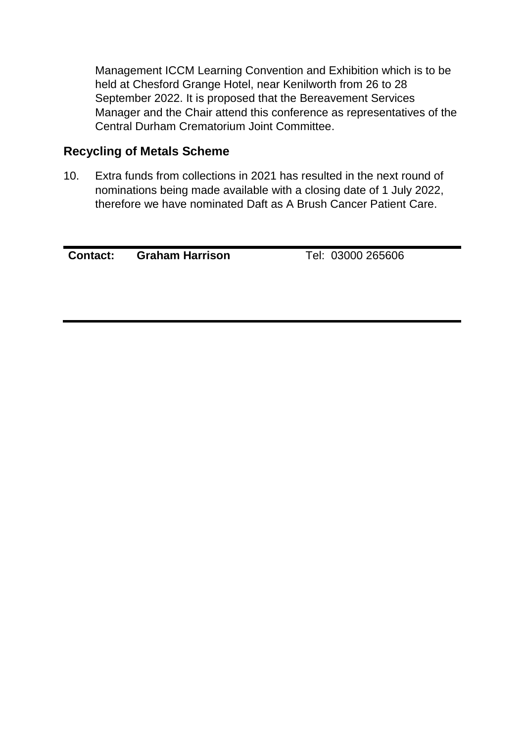Management ICCM Learning Convention and Exhibition which is to be held at Chesford Grange Hotel, near Kenilworth from 26 to 28 September 2022. It is proposed that the Bereavement Services Manager and the Chair attend this conference as representatives of the Central Durham Crematorium Joint Committee.

#### **Recycling of Metals Scheme**

10. Extra funds from collections in 2021 has resulted in the next round of nominations being made available with a closing date of 1 July 2022, therefore we have nominated Daft as A Brush Cancer Patient Care.

**Contact: Graham Harrison** Tel: 03000 265606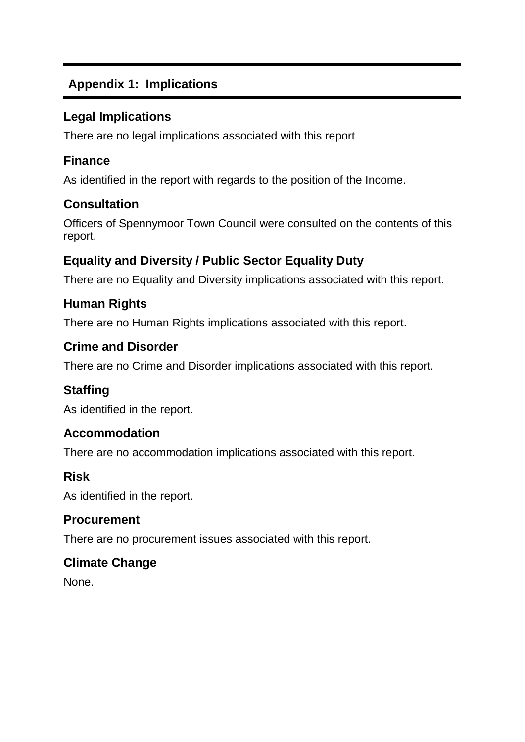# **Appendix 1: Implications**

#### **Legal Implications**

There are no legal implications associated with this report

#### **Finance**

As identified in the report with regards to the position of the Income.

## **Consultation**

Officers of Spennymoor Town Council were consulted on the contents of this report.

# **Equality and Diversity / Public Sector Equality Duty**

There are no Equality and Diversity implications associated with this report.

# **Human Rights**

There are no Human Rights implications associated with this report.

#### **Crime and Disorder**

There are no Crime and Disorder implications associated with this report.

## **Staffing**

As identified in the report.

## **Accommodation**

There are no accommodation implications associated with this report.

#### **Risk**

As identified in the report.

#### **Procurement**

There are no procurement issues associated with this report.

## **Climate Change**

None.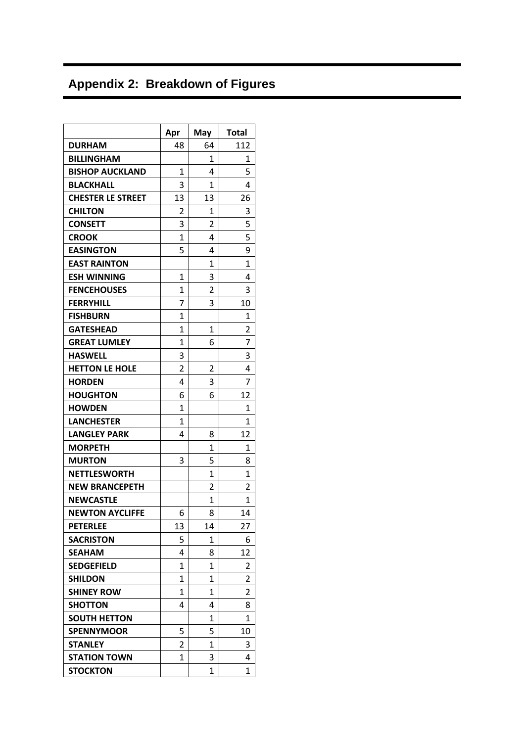# **Appendix 2: Breakdown of Figures**

|                          | Apr            | May            | <b>Total</b> |
|--------------------------|----------------|----------------|--------------|
| <b>DURHAM</b>            | 48             | 64             | 112          |
| <b>BILLINGHAM</b>        |                | 1              | 1            |
| <b>BISHOP AUCKLAND</b>   | 1              | 4              | 5            |
| <b>BLACKHALL</b>         | 3              | 1              | 4            |
| <b>CHESTER LE STREET</b> | 13             | 13             | 26           |
| <b>CHILTON</b>           | 2              | $\mathbf{1}$   | 3            |
| <b>CONSETT</b>           | 3              | $\overline{2}$ | 5            |
| <b>CROOK</b>             | $\mathbf{1}$   | 4              | 5            |
| <b>EASINGTON</b>         | 5              | 4              | 9            |
| <b>EAST RAINTON</b>      |                | 1              | 1            |
| <b>ESH WINNING</b>       | 1              | 3              | 4            |
| <b>FENCEHOUSES</b>       | 1              | $\overline{2}$ | 3            |
| <b>FERRYHILL</b>         | 7              | 3              | 10           |
| <b>FISHBURN</b>          | 1              |                | 1            |
| <b>GATESHEAD</b>         | 1              | 1              | 2            |
| <b>GREAT LUMLEY</b>      | 1              | 6              | 7            |
| <b>HASWELL</b>           | 3              |                | 3            |
| <b>HETTON LE HOLE</b>    | $\overline{2}$ | $\overline{2}$ | 4            |
| <b>HORDEN</b>            | 4              | 3              | 7            |
| <b>HOUGHTON</b>          | 6              | 6              | 12           |
| <b>HOWDEN</b>            | $\mathbf{1}$   |                | 1            |
| <b>LANCHESTER</b>        | 1              |                | 1            |
| <b>LANGLEY PARK</b>      | 4              | 8              | 12           |
| <b>MORPETH</b>           |                | 1              | 1            |
| <b>MURTON</b>            | 3              | 5              | 8            |
| <b>NETTLESWORTH</b>      |                | 1              | 1            |
| <b>NEW BRANCEPETH</b>    |                | 2              | 2            |
| <b>NEWCASTLE</b>         |                | 1              | 1            |
| <b>NEWTON AYCLIFFE</b>   | 6              | 8              | 14           |
| <b>PETERLEE</b>          | 13             | 14             | 27           |
| SACRISTON                | 5              | 1              | 6            |
| SEAHAM                   | 4              | 8              | 12           |
| <b>SEDGEFIELD</b>        | 1              | 1              | 2            |
| <b>SHILDON</b>           | 1              | 1              | 2            |
| <b>SHINEY ROW</b>        | $\mathbf{1}$   | 1              | 2            |
| <b>SHOTTON</b>           | 4              | 4              | 8            |
| <b>SOUTH HETTON</b>      |                | 1              | 1            |
| <b>SPENNYMOOR</b>        | 5              | 5              | 10           |
| <b>STANLEY</b>           | 2              | 1              | 3            |
| <b>STATION TOWN</b>      | 1              | 3              | 4            |
| <b>STOCKTON</b>          |                | 1              | 1            |